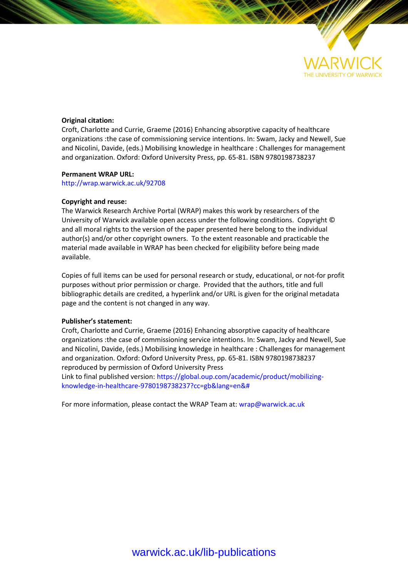

#### **Original citation:**

Croft, Charlotte and Currie, Graeme (2016) Enhancing absorptive capacity of healthcare organizations :the case of commissioning service intentions. In: Swam, Jacky and Newell, Sue and Nicolini, Davide, (eds.) Mobilising knowledge in healthcare : Challenges for management and organization. Oxford: Oxford University Press, pp. 65-81. ISBN 9780198738237

#### **Permanent WRAP URL:**

<http://wrap.warwick.ac.uk/92708>

#### **Copyright and reuse:**

The Warwick Research Archive Portal (WRAP) makes this work by researchers of the University of Warwick available open access under the following conditions. Copyright © and all moral rights to the version of the paper presented here belong to the individual author(s) and/or other copyright owners. To the extent reasonable and practicable the material made available in WRAP has been checked for eligibility before being made available.

Copies of full items can be used for personal research or study, educational, or not-for profit purposes without prior permission or charge. Provided that the authors, title and full bibliographic details are credited, a hyperlink and/or URL is given for the original metadata page and the content is not changed in any way.

#### **Publisher's statement:**

Croft, Charlotte and Currie, Graeme (2016) Enhancing absorptive capacity of healthcare organizations :the case of commissioning service intentions. In: Swam, Jacky and Newell, Sue and Nicolini, Davide, (eds.) Mobilising knowledge in healthcare : Challenges for management and organization. Oxford: Oxford University Press, pp. 65-81. ISBN 9780198738237 reproduced by permission of Oxford University Press

Link to final published version: [https://global.oup.com/academic/product/mobilizing](https://global.oup.com/academic/product/mobilizing-knowledge-in-healthcare-9780198738237?cc=gb&lang=en&)[knowledge-in-healthcare-9780198738237?cc=gb&lang=en&#](https://global.oup.com/academic/product/mobilizing-knowledge-in-healthcare-9780198738237?cc=gb&lang=en&)

For more information, please contact the WRAP Team at[: wrap@warwick.ac.uk](mailto:wrap@warwick.ac.uk)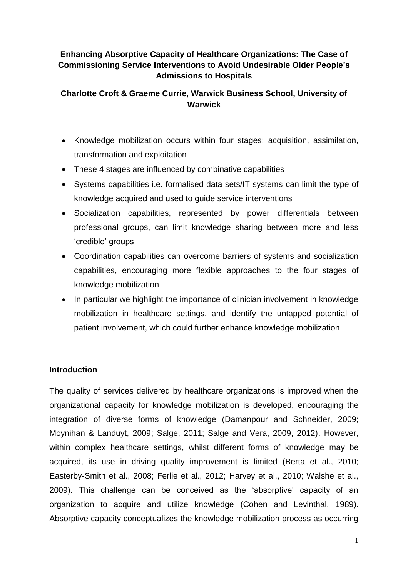# **Enhancing Absorptive Capacity of Healthcare Organizations: The Case of Commissioning Service Interventions to Avoid Undesirable Older People's Admissions to Hospitals**

# **Charlotte Croft & Graeme Currie, Warwick Business School, University of Warwick**

- Knowledge mobilization occurs within four stages: acquisition, assimilation, transformation and exploitation
- These 4 stages are influenced by combinative capabilities
- Systems capabilities i.e. formalised data sets/IT systems can limit the type of knowledge acquired and used to guide service interventions
- Socialization capabilities, represented by power differentials between professional groups, can limit knowledge sharing between more and less 'credible' groups
- Coordination capabilities can overcome barriers of systems and socialization capabilities, encouraging more flexible approaches to the four stages of knowledge mobilization
- In particular we highlight the importance of clinician involvement in knowledge mobilization in healthcare settings, and identify the untapped potential of patient involvement, which could further enhance knowledge mobilization

# **Introduction**

The quality of services delivered by healthcare organizations is improved when the organizational capacity for knowledge mobilization is developed, encouraging the integration of diverse forms of knowledge (Damanpour and Schneider, 2009; Moynihan & Landuyt, 2009; Salge, 2011; Salge and Vera, 2009, 2012). However, within complex healthcare settings, whilst different forms of knowledge may be acquired, its use in driving quality improvement is limited (Berta et al., 2010; Easterby-Smith et al., 2008; Ferlie et al., 2012; Harvey et al., 2010; Walshe et al., 2009). This challenge can be conceived as the 'absorptive' capacity of an organization to acquire and utilize knowledge (Cohen and Levinthal, 1989). Absorptive capacity conceptualizes the knowledge mobilization process as occurring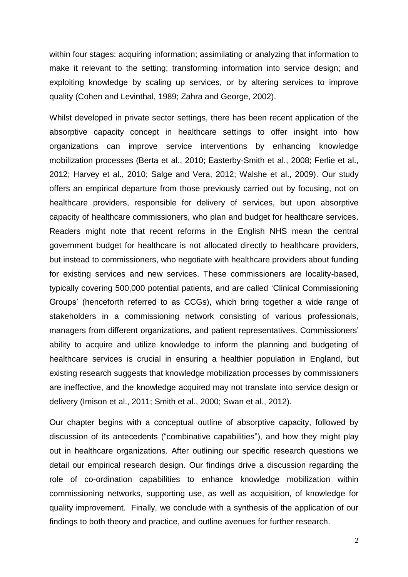within four stages: acquiring information; assimilating or analyzing that information to make it relevant to the setting; transforming information into service design; and exploiting knowledge by scaling up services, or by altering services to improve quality (Cohen and Levinthal, 1989; Zahra and George, 2002).

Whilst developed in private sector settings, there has been recent application of the absorptive capacity concept in healthcare settings to offer insight into how organizations can improve service interventions by enhancing knowledge mobilization processes (Berta et al., 2010; Easterby-Smith et al., 2008; Ferlie et al., 2012; Harvey et al., 2010; Salge and Vera, 2012; Walshe et al., 2009). Our study offers an empirical departure from those previously carried out by focusing, not on healthcare providers, responsible for delivery of services, but upon absorptive capacity of healthcare commissioners, who plan and budget for healthcare services. Readers might note that recent reforms in the English NHS mean the central government budget for healthcare is not allocated directly to healthcare providers, but instead to commissioners, who negotiate with healthcare providers about funding for existing services and new services. These commissioners are locality-based, typically covering 500,000 potential patients, and are called 'Clinical Commissioning Groups' (henceforth referred to as CCGs), which bring together a wide range of stakeholders in a commissioning network consisting of various professionals, managers from different organizations, and patient representatives. Commissioners' ability to acquire and utilize knowledge to inform the planning and budgeting of healthcare services is crucial in ensuring a healthier population in England, but existing research suggests that knowledge mobilization processes by commissioners are ineffective, and the knowledge acquired may not translate into service design or delivery (Imison et al., 2011; Smith et al., 2000; Swan et al., 2012).

Our chapter begins with a conceptual outline of absorptive capacity, followed by discussion of its antecedents ("combinative capabilities"), and how they might play out in healthcare organizations. After outlining our specific research questions we detail our empirical research design. Our findings drive a discussion regarding the role of co-ordination capabilities to enhance knowledge mobilization within commissioning networks, supporting use, as well as acquisition, of knowledge for quality improvement. Finally, we conclude with a synthesis of the application of our findings to both theory and practice, and outline avenues for further research.

2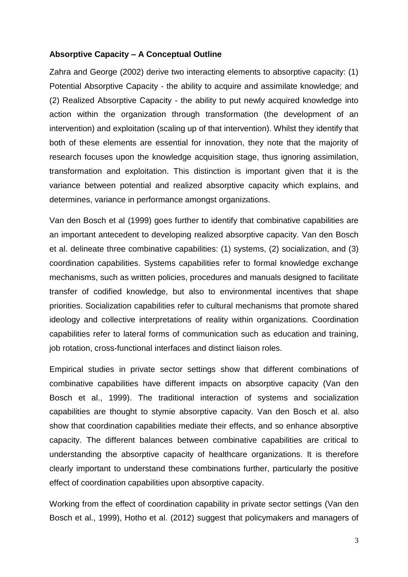## **Absorptive Capacity – A Conceptual Outline**

Zahra and George (2002) derive two interacting elements to absorptive capacity: (1) Potential Absorptive Capacity - the ability to acquire and assimilate knowledge; and (2) Realized Absorptive Capacity - the ability to put newly acquired knowledge into action within the organization through transformation (the development of an intervention) and exploitation (scaling up of that intervention). Whilst they identify that both of these elements are essential for innovation, they note that the majority of research focuses upon the knowledge acquisition stage, thus ignoring assimilation, transformation and exploitation. This distinction is important given that it is the variance between potential and realized absorptive capacity which explains, and determines, variance in performance amongst organizations.

Van den Bosch et al (1999) goes further to identify that combinative capabilities are an important antecedent to developing realized absorptive capacity. Van den Bosch et al. delineate three combinative capabilities: (1) systems, (2) socialization, and (3) coordination capabilities. Systems capabilities refer to formal knowledge exchange mechanisms, such as written policies, procedures and manuals designed to facilitate transfer of codified knowledge, but also to environmental incentives that shape priorities. Socialization capabilities refer to cultural mechanisms that promote shared ideology and collective interpretations of reality within organizations. Coordination capabilities refer to lateral forms of communication such as education and training, job rotation, cross-functional interfaces and distinct liaison roles.

Empirical studies in private sector settings show that different combinations of combinative capabilities have different impacts on absorptive capacity (Van den Bosch et al., 1999). The traditional interaction of systems and socialization capabilities are thought to stymie absorptive capacity. Van den Bosch et al. also show that coordination capabilities mediate their effects, and so enhance absorptive capacity. The different balances between combinative capabilities are critical to understanding the absorptive capacity of healthcare organizations. It is therefore clearly important to understand these combinations further, particularly the positive effect of coordination capabilities upon absorptive capacity.

Working from the effect of coordination capability in private sector settings (Van den Bosch et al., 1999), Hotho et al. (2012) suggest that policymakers and managers of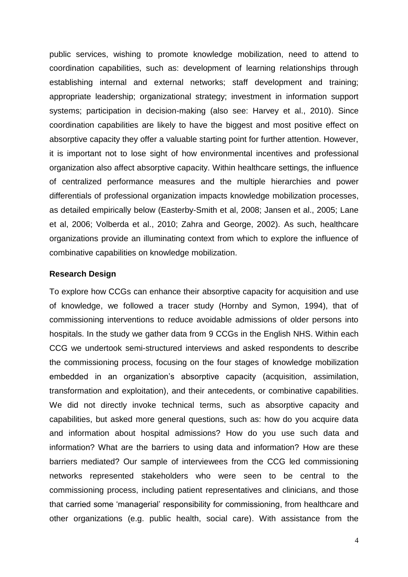public services, wishing to promote knowledge mobilization, need to attend to coordination capabilities, such as: development of learning relationships through establishing internal and external networks; staff development and training; appropriate leadership; organizational strategy; investment in information support systems; participation in decision-making (also see: Harvey et al., 2010). Since coordination capabilities are likely to have the biggest and most positive effect on absorptive capacity they offer a valuable starting point for further attention. However, it is important not to lose sight of how environmental incentives and professional organization also affect absorptive capacity. Within healthcare settings, the influence of centralized performance measures and the multiple hierarchies and power differentials of professional organization impacts knowledge mobilization processes, as detailed empirically below (Easterby-Smith et al, 2008; Jansen et al., 2005; Lane et al, 2006; Volberda et al., 2010; Zahra and George, 2002). As such, healthcare organizations provide an illuminating context from which to explore the influence of combinative capabilities on knowledge mobilization.

### **Research Design**

To explore how CCGs can enhance their absorptive capacity for acquisition and use of knowledge, we followed a tracer study (Hornby and Symon, 1994), that of commissioning interventions to reduce avoidable admissions of older persons into hospitals. In the study we gather data from 9 CCGs in the English NHS. Within each CCG we undertook semi-structured interviews and asked respondents to describe the commissioning process, focusing on the four stages of knowledge mobilization embedded in an organization's absorptive capacity (acquisition, assimilation, transformation and exploitation), and their antecedents, or combinative capabilities. We did not directly invoke technical terms, such as absorptive capacity and capabilities, but asked more general questions, such as: how do you acquire data and information about hospital admissions? How do you use such data and information? What are the barriers to using data and information? How are these barriers mediated? Our sample of interviewees from the CCG led commissioning networks represented stakeholders who were seen to be central to the commissioning process, including patient representatives and clinicians, and those that carried some 'managerial' responsibility for commissioning, from healthcare and other organizations (e.g. public health, social care). With assistance from the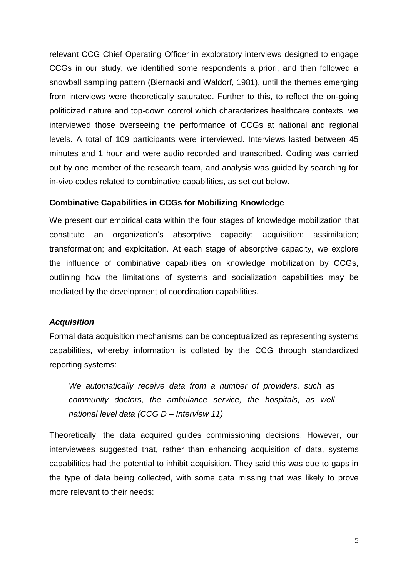relevant CCG Chief Operating Officer in exploratory interviews designed to engage CCGs in our study, we identified some respondents a priori, and then followed a snowball sampling pattern (Biernacki and Waldorf, 1981), until the themes emerging from interviews were theoretically saturated. Further to this, to reflect the on-going politicized nature and top-down control which characterizes healthcare contexts, we interviewed those overseeing the performance of CCGs at national and regional levels. A total of 109 participants were interviewed. Interviews lasted between 45 minutes and 1 hour and were audio recorded and transcribed. Coding was carried out by one member of the research team, and analysis was guided by searching for in-vivo codes related to combinative capabilities, as set out below.

#### **Combinative Capabilities in CCGs for Mobilizing Knowledge**

We present our empirical data within the four stages of knowledge mobilization that constitute an organization's absorptive capacity: acquisition; assimilation; transformation; and exploitation. At each stage of absorptive capacity, we explore the influence of combinative capabilities on knowledge mobilization by CCGs, outlining how the limitations of systems and socialization capabilities may be mediated by the development of coordination capabilities.

#### *Acquisition*

Formal data acquisition mechanisms can be conceptualized as representing systems capabilities, whereby information is collated by the CCG through standardized reporting systems:

*We automatically receive data from a number of providers, such as community doctors, the ambulance service, the hospitals, as well national level data (CCG D – Interview 11)*

Theoretically, the data acquired guides commissioning decisions. However, our interviewees suggested that, rather than enhancing acquisition of data, systems capabilities had the potential to inhibit acquisition. They said this was due to gaps in the type of data being collected, with some data missing that was likely to prove more relevant to their needs: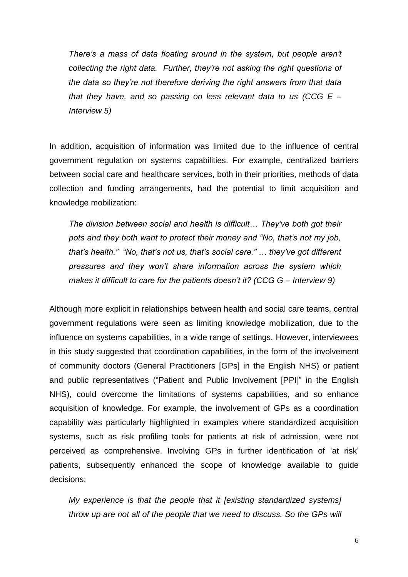*There's a mass of data floating around in the system, but people aren't collecting the right data. Further, they're not asking the right questions of the data so they're not therefore deriving the right answers from that data that they have, and so passing on less relevant data to us (CCG E – Interview 5)*

In addition, acquisition of information was limited due to the influence of central government regulation on systems capabilities. For example, centralized barriers between social care and healthcare services, both in their priorities, methods of data collection and funding arrangements, had the potential to limit acquisition and knowledge mobilization:

*The division between social and health is difficult… They've both got their pots and they both want to protect their money and "No, that's not my job, that's health." "No, that's not us, that's social care." … they've got different pressures and they won't share information across the system which makes it difficult to care for the patients doesn't it? (CCG G – Interview 9)*

Although more explicit in relationships between health and social care teams, central government regulations were seen as limiting knowledge mobilization, due to the influence on systems capabilities, in a wide range of settings. However, interviewees in this study suggested that coordination capabilities, in the form of the involvement of community doctors (General Practitioners [GPs] in the English NHS) or patient and public representatives ("Patient and Public Involvement [PPI]" in the English NHS), could overcome the limitations of systems capabilities, and so enhance acquisition of knowledge. For example, the involvement of GPs as a coordination capability was particularly highlighted in examples where standardized acquisition systems, such as risk profiling tools for patients at risk of admission, were not perceived as comprehensive. Involving GPs in further identification of 'at risk' patients, subsequently enhanced the scope of knowledge available to guide decisions:

*My experience is that the people that it [existing standardized systems] throw up are not all of the people that we need to discuss. So the GPs will*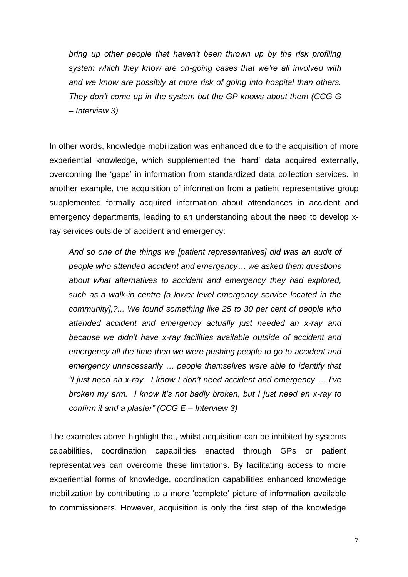*bring up other people that haven't been thrown up by the risk profiling system which they know are on-going cases that we're all involved with and we know are possibly at more risk of going into hospital than others. They don't come up in the system but the GP knows about them (CCG G – Interview 3)*

In other words, knowledge mobilization was enhanced due to the acquisition of more experiential knowledge, which supplemented the 'hard' data acquired externally, overcoming the 'gaps' in information from standardized data collection services. In another example, the acquisition of information from a patient representative group supplemented formally acquired information about attendances in accident and emergency departments, leading to an understanding about the need to develop xray services outside of accident and emergency:

*And so one of the things we [patient representatives] did was an audit of people who attended accident and emergency… we asked them questions about what alternatives to accident and emergency they had explored, such as a walk-in centre [a lower level emergency service located in the community],?... We found something like 25 to 30 per cent of people who attended accident and emergency actually just needed an x-ray and because we didn't have x-ray facilities available outside of accident and emergency all the time then we were pushing people to go to accident and emergency unnecessarily … people themselves were able to identify that "I just need an x-ray. I know I don't need accident and emergency … I've broken my arm. I know it's not badly broken, but I just need an x-ray to confirm it and a plaster" (CCG E – Interview 3)*

The examples above highlight that, whilst acquisition can be inhibited by systems capabilities, coordination capabilities enacted through GPs or patient representatives can overcome these limitations. By facilitating access to more experiential forms of knowledge, coordination capabilities enhanced knowledge mobilization by contributing to a more 'complete' picture of information available to commissioners. However, acquisition is only the first step of the knowledge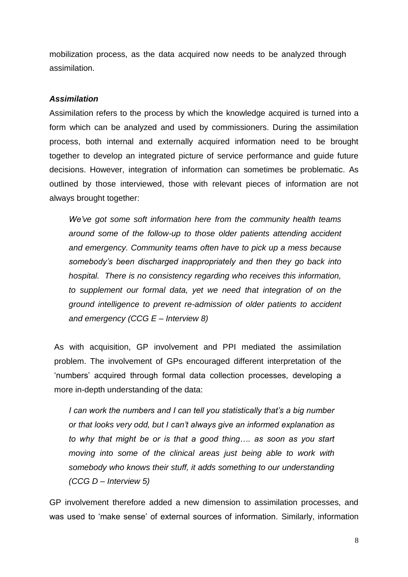mobilization process, as the data acquired now needs to be analyzed through assimilation.

## *Assimilation*

Assimilation refers to the process by which the knowledge acquired is turned into a form which can be analyzed and used by commissioners. During the assimilation process, both internal and externally acquired information need to be brought together to develop an integrated picture of service performance and guide future decisions. However, integration of information can sometimes be problematic. As outlined by those interviewed, those with relevant pieces of information are not always brought together:

*We've got some soft information here from the community health teams around some of the follow-up to those older patients attending accident and emergency. Community teams often have to pick up a mess because somebody's been discharged inappropriately and then they go back into hospital. There is no consistency regarding who receives this information, to supplement our formal data, yet we need that integration of on the ground intelligence to prevent re-admission of older patients to accident and emergency (CCG E – Interview 8)*

As with acquisition, GP involvement and PPI mediated the assimilation problem. The involvement of GPs encouraged different interpretation of the 'numbers' acquired through formal data collection processes, developing a more in-depth understanding of the data:

*I can work the numbers and I can tell you statistically that's a big number or that looks very odd, but I can't always give an informed explanation as to why that might be or is that a good thing…. as soon as you start moving into some of the clinical areas just being able to work with somebody who knows their stuff, it adds something to our understanding (CCG D – Interview 5)*

GP involvement therefore added a new dimension to assimilation processes, and was used to 'make sense' of external sources of information. Similarly, information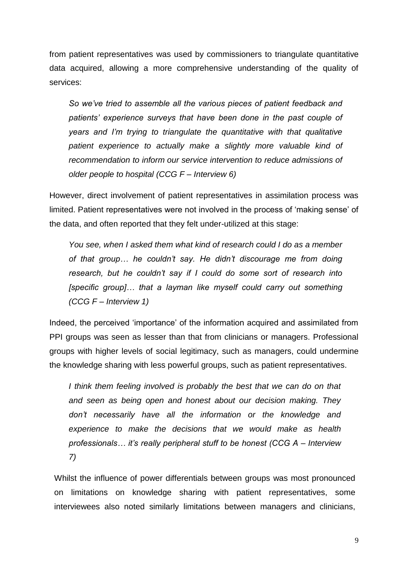from patient representatives was used by commissioners to triangulate quantitative data acquired, allowing a more comprehensive understanding of the quality of services:

*So we've tried to assemble all the various pieces of patient feedback and patients' experience surveys that have been done in the past couple of years and I'm trying to triangulate the quantitative with that qualitative patient experience to actually make a slightly more valuable kind of recommendation to inform our service intervention to reduce admissions of older people to hospital (CCG F – Interview 6)*

However, direct involvement of patient representatives in assimilation process was limited. Patient representatives were not involved in the process of 'making sense' of the data, and often reported that they felt under-utilized at this stage:

*You see, when I asked them what kind of research could I do as a member of that group… he couldn't say. He didn't discourage me from doing research, but he couldn't say if I could do some sort of research into [specific group]… that a layman like myself could carry out something (CCG F – Interview 1)*

Indeed, the perceived 'importance' of the information acquired and assimilated from PPI groups was seen as lesser than that from clinicians or managers. Professional groups with higher levels of social legitimacy, such as managers, could undermine the knowledge sharing with less powerful groups, such as patient representatives.

*I think them feeling involved is probably the best that we can do on that and seen as being open and honest about our decision making. They don't necessarily have all the information or the knowledge and experience to make the decisions that we would make as health professionals… it's really peripheral stuff to be honest (CCG A – Interview 7)*

Whilst the influence of power differentials between groups was most pronounced on limitations on knowledge sharing with patient representatives, some interviewees also noted similarly limitations between managers and clinicians,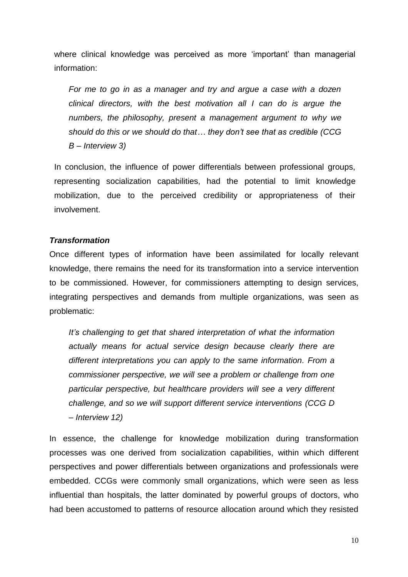where clinical knowledge was perceived as more 'important' than managerial information:

*For me to go in as a manager and try and argue a case with a dozen clinical directors, with the best motivation all I can do is argue the numbers, the philosophy, present a management argument to why we should do this or we should do that… they don't see that as credible (CCG B – Interview 3)*

In conclusion, the influence of power differentials between professional groups, representing socialization capabilities, had the potential to limit knowledge mobilization, due to the perceived credibility or appropriateness of their involvement.

# *Transformation*

Once different types of information have been assimilated for locally relevant knowledge, there remains the need for its transformation into a service intervention to be commissioned. However, for commissioners attempting to design services, integrating perspectives and demands from multiple organizations, was seen as problematic:

*It's challenging to get that shared interpretation of what the information actually means for actual service design because clearly there are different interpretations you can apply to the same information. From a commissioner perspective, we will see a problem or challenge from one particular perspective, but healthcare providers will see a very different challenge, and so we will support different service interventions (CCG D – Interview 12)*

In essence, the challenge for knowledge mobilization during transformation processes was one derived from socialization capabilities, within which different perspectives and power differentials between organizations and professionals were embedded. CCGs were commonly small organizations, which were seen as less influential than hospitals, the latter dominated by powerful groups of doctors, who had been accustomed to patterns of resource allocation around which they resisted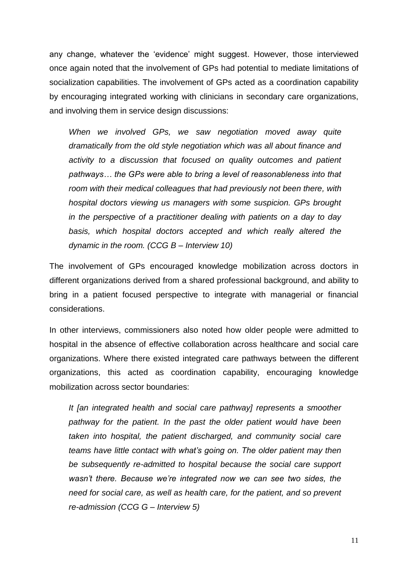any change, whatever the 'evidence' might suggest. However, those interviewed once again noted that the involvement of GPs had potential to mediate limitations of socialization capabilities. The involvement of GPs acted as a coordination capability by encouraging integrated working with clinicians in secondary care organizations, and involving them in service design discussions:

*When we involved GPs, we saw negotiation moved away quite dramatically from the old style negotiation which was all about finance and activity to a discussion that focused on quality outcomes and patient pathways… the GPs were able to bring a level of reasonableness into that room with their medical colleagues that had previously not been there, with hospital doctors viewing us managers with some suspicion. GPs brought in the perspective of a practitioner dealing with patients on a day to day basis, which hospital doctors accepted and which really altered the dynamic in the room. (CCG B – Interview 10)*

The involvement of GPs encouraged knowledge mobilization across doctors in different organizations derived from a shared professional background, and ability to bring in a patient focused perspective to integrate with managerial or financial considerations.

In other interviews, commissioners also noted how older people were admitted to hospital in the absence of effective collaboration across healthcare and social care organizations. Where there existed integrated care pathways between the different organizations, this acted as coordination capability, encouraging knowledge mobilization across sector boundaries:

*It [an integrated health and social care pathway] represents a smoother pathway for the patient. In the past the older patient would have been taken into hospital, the patient discharged, and community social care teams have little contact with what's going on. The older patient may then be subsequently re-admitted to hospital because the social care support wasn't there. Because we're integrated now we can see two sides, the need for social care, as well as health care, for the patient, and so prevent re-admission (CCG G – Interview 5)*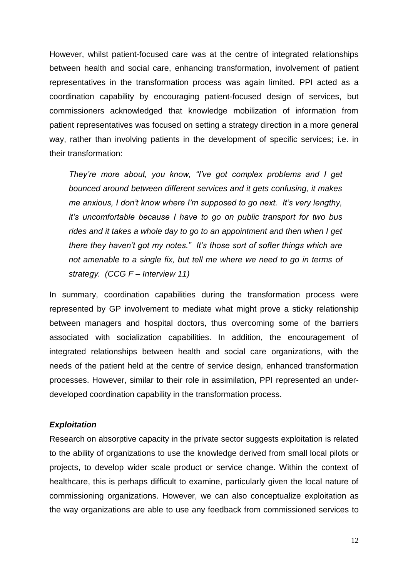However, whilst patient-focused care was at the centre of integrated relationships between health and social care, enhancing transformation, involvement of patient representatives in the transformation process was again limited. PPI acted as a coordination capability by encouraging patient-focused design of services, but commissioners acknowledged that knowledge mobilization of information from patient representatives was focused on setting a strategy direction in a more general way, rather than involving patients in the development of specific services; i.e. in their transformation:

*They're more about, you know, "I've got complex problems and I get bounced around between different services and it gets confusing, it makes me anxious, I don't know where I'm supposed to go next. It's very lengthy, it's uncomfortable because I have to go on public transport for two bus rides and it takes a whole day to go to an appointment and then when I get there they haven't got my notes." It's those sort of softer things which are not amenable to a single fix, but tell me where we need to go in terms of strategy. (CCG F – Interview 11)*

In summary, coordination capabilities during the transformation process were represented by GP involvement to mediate what might prove a sticky relationship between managers and hospital doctors, thus overcoming some of the barriers associated with socialization capabilities. In addition, the encouragement of integrated relationships between health and social care organizations, with the needs of the patient held at the centre of service design, enhanced transformation processes. However, similar to their role in assimilation, PPI represented an underdeveloped coordination capability in the transformation process.

## *Exploitation*

Research on absorptive capacity in the private sector suggests exploitation is related to the ability of organizations to use the knowledge derived from small local pilots or projects, to develop wider scale product or service change. Within the context of healthcare, this is perhaps difficult to examine, particularly given the local nature of commissioning organizations. However, we can also conceptualize exploitation as the way organizations are able to use any feedback from commissioned services to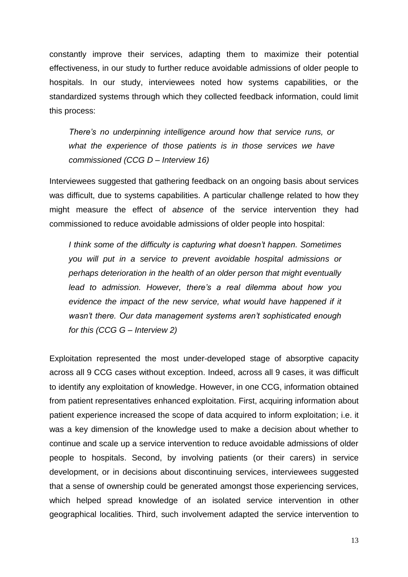constantly improve their services, adapting them to maximize their potential effectiveness, in our study to further reduce avoidable admissions of older people to hospitals. In our study, interviewees noted how systems capabilities, or the standardized systems through which they collected feedback information, could limit this process:

*There's no underpinning intelligence around how that service runs, or what the experience of those patients is in those services we have commissioned (CCG D – Interview 16)*

Interviewees suggested that gathering feedback on an ongoing basis about services was difficult, due to systems capabilities. A particular challenge related to how they might measure the effect of *absence* of the service intervention they had commissioned to reduce avoidable admissions of older people into hospital:

*I think some of the difficulty is capturing what doesn't happen. Sometimes you will put in a service to prevent avoidable hospital admissions or perhaps deterioration in the health of an older person that might eventually lead to admission. However, there's a real dilemma about how you evidence the impact of the new service, what would have happened if it wasn't there. Our data management systems aren't sophisticated enough for this (CCG G – Interview 2)*

Exploitation represented the most under-developed stage of absorptive capacity across all 9 CCG cases without exception. Indeed, across all 9 cases, it was difficult to identify any exploitation of knowledge. However, in one CCG, information obtained from patient representatives enhanced exploitation. First, acquiring information about patient experience increased the scope of data acquired to inform exploitation; i.e. it was a key dimension of the knowledge used to make a decision about whether to continue and scale up a service intervention to reduce avoidable admissions of older people to hospitals. Second, by involving patients (or their carers) in service development, or in decisions about discontinuing services, interviewees suggested that a sense of ownership could be generated amongst those experiencing services, which helped spread knowledge of an isolated service intervention in other geographical localities. Third, such involvement adapted the service intervention to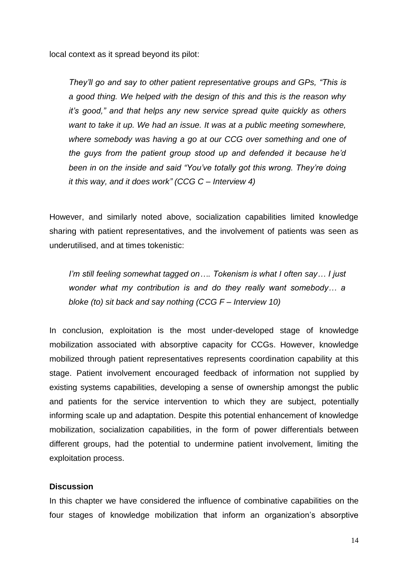local context as it spread beyond its pilot:

*They'll go and say to other patient representative groups and GPs, "This is a good thing. We helped with the design of this and this is the reason why it's good," and that helps any new service spread quite quickly as others want to take it up. We had an issue. It was at a public meeting somewhere, where somebody was having a go at our CCG over something and one of the guys from the patient group stood up and defended it because he'd been in on the inside and said "You've totally got this wrong. They're doing it this way, and it does work" (CCG C – Interview 4)*

However, and similarly noted above, socialization capabilities limited knowledge sharing with patient representatives, and the involvement of patients was seen as underutilised, and at times tokenistic:

*I'm still feeling somewhat tagged on…. Tokenism is what I often say… I just wonder what my contribution is and do they really want somebody… a bloke (to) sit back and say nothing (CCG F – Interview 10)*

In conclusion, exploitation is the most under-developed stage of knowledge mobilization associated with absorptive capacity for CCGs. However, knowledge mobilized through patient representatives represents coordination capability at this stage. Patient involvement encouraged feedback of information not supplied by existing systems capabilities, developing a sense of ownership amongst the public and patients for the service intervention to which they are subject, potentially informing scale up and adaptation. Despite this potential enhancement of knowledge mobilization, socialization capabilities, in the form of power differentials between different groups, had the potential to undermine patient involvement, limiting the exploitation process.

# **Discussion**

In this chapter we have considered the influence of combinative capabilities on the four stages of knowledge mobilization that inform an organization's absorptive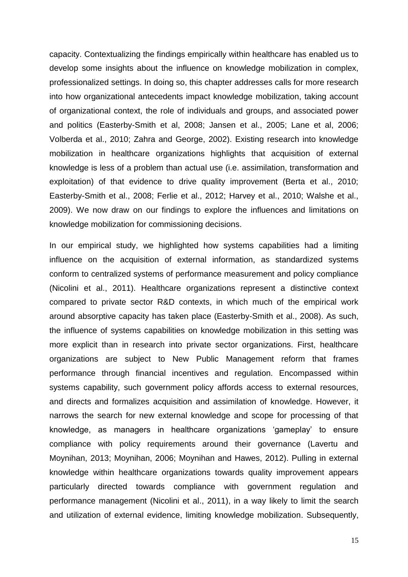capacity. Contextualizing the findings empirically within healthcare has enabled us to develop some insights about the influence on knowledge mobilization in complex, professionalized settings. In doing so, this chapter addresses calls for more research into how organizational antecedents impact knowledge mobilization, taking account of organizational context, the role of individuals and groups, and associated power and politics (Easterby-Smith et al, 2008; Jansen et al., 2005; Lane et al, 2006; Volberda et al., 2010; Zahra and George, 2002). Existing research into knowledge mobilization in healthcare organizations highlights that acquisition of external knowledge is less of a problem than actual use (i.e. assimilation, transformation and exploitation) of that evidence to drive quality improvement (Berta et al., 2010; Easterby-Smith et al., 2008; Ferlie et al., 2012; Harvey et al., 2010; Walshe et al., 2009). We now draw on our findings to explore the influences and limitations on knowledge mobilization for commissioning decisions.

In our empirical study, we highlighted how systems capabilities had a limiting influence on the acquisition of external information, as standardized systems conform to centralized systems of performance measurement and policy compliance (Nicolini et al., 2011). Healthcare organizations represent a distinctive context compared to private sector R&D contexts, in which much of the empirical work around absorptive capacity has taken place (Easterby-Smith et al., 2008). As such, the influence of systems capabilities on knowledge mobilization in this setting was more explicit than in research into private sector organizations. First, healthcare organizations are subject to New Public Management reform that frames performance through financial incentives and regulation. Encompassed within systems capability, such government policy affords access to external resources, and directs and formalizes acquisition and assimilation of knowledge. However, it narrows the search for new external knowledge and scope for processing of that knowledge, as managers in healthcare organizations 'gameplay' to ensure compliance with policy requirements around their governance (Lavertu and Moynihan, 2013; Moynihan, 2006; Moynihan and Hawes, 2012). Pulling in external knowledge within healthcare organizations towards quality improvement appears particularly directed towards compliance with government regulation and performance management (Nicolini et al., 2011), in a way likely to limit the search and utilization of external evidence, limiting knowledge mobilization. Subsequently,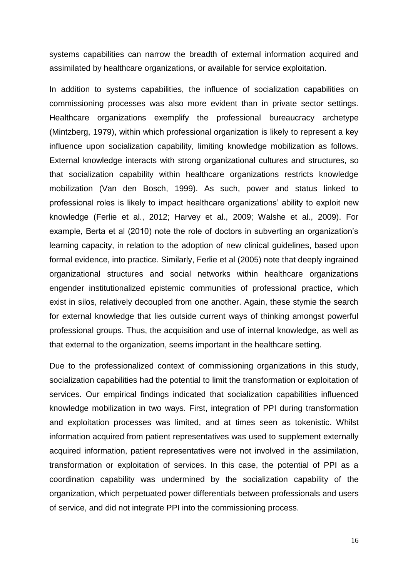systems capabilities can narrow the breadth of external information acquired and assimilated by healthcare organizations, or available for service exploitation.

In addition to systems capabilities, the influence of socialization capabilities on commissioning processes was also more evident than in private sector settings. Healthcare organizations exemplify the professional bureaucracy archetype (Mintzberg, 1979), within which professional organization is likely to represent a key influence upon socialization capability, limiting knowledge mobilization as follows. External knowledge interacts with strong organizational cultures and structures, so that socialization capability within healthcare organizations restricts knowledge mobilization (Van den Bosch, 1999). As such, power and status linked to professional roles is likely to impact healthcare organizations' ability to exploit new knowledge (Ferlie et al., 2012; Harvey et al., 2009; Walshe et al., 2009). For example, Berta et al (2010) note the role of doctors in subverting an organization's learning capacity, in relation to the adoption of new clinical guidelines, based upon formal evidence, into practice. Similarly, Ferlie et al (2005) note that deeply ingrained organizational structures and social networks within healthcare organizations engender institutionalized epistemic communities of professional practice, which exist in silos, relatively decoupled from one another. Again, these stymie the search for external knowledge that lies outside current ways of thinking amongst powerful professional groups. Thus, the acquisition and use of internal knowledge, as well as that external to the organization, seems important in the healthcare setting.

Due to the professionalized context of commissioning organizations in this study, socialization capabilities had the potential to limit the transformation or exploitation of services. Our empirical findings indicated that socialization capabilities influenced knowledge mobilization in two ways. First, integration of PPI during transformation and exploitation processes was limited, and at times seen as tokenistic. Whilst information acquired from patient representatives was used to supplement externally acquired information, patient representatives were not involved in the assimilation, transformation or exploitation of services. In this case, the potential of PPI as a coordination capability was undermined by the socialization capability of the organization, which perpetuated power differentials between professionals and users of service, and did not integrate PPI into the commissioning process.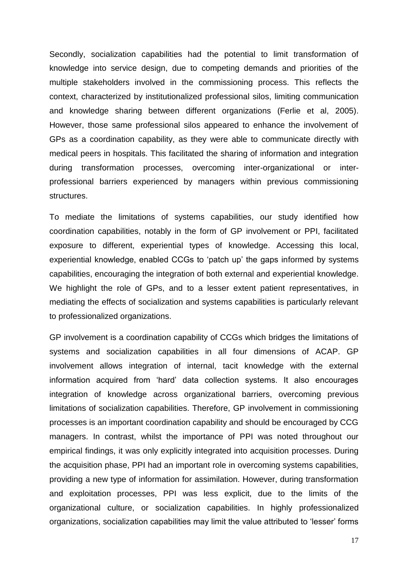Secondly, socialization capabilities had the potential to limit transformation of knowledge into service design, due to competing demands and priorities of the multiple stakeholders involved in the commissioning process. This reflects the context, characterized by institutionalized professional silos, limiting communication and knowledge sharing between different organizations (Ferlie et al, 2005). However, those same professional silos appeared to enhance the involvement of GPs as a coordination capability, as they were able to communicate directly with medical peers in hospitals. This facilitated the sharing of information and integration during transformation processes, overcoming inter-organizational or interprofessional barriers experienced by managers within previous commissioning structures.

To mediate the limitations of systems capabilities, our study identified how coordination capabilities, notably in the form of GP involvement or PPI, facilitated exposure to different, experiential types of knowledge. Accessing this local, experiential knowledge, enabled CCGs to 'patch up' the gaps informed by systems capabilities, encouraging the integration of both external and experiential knowledge. We highlight the role of GPs, and to a lesser extent patient representatives, in mediating the effects of socialization and systems capabilities is particularly relevant to professionalized organizations.

GP involvement is a coordination capability of CCGs which bridges the limitations of systems and socialization capabilities in all four dimensions of ACAP. GP involvement allows integration of internal, tacit knowledge with the external information acquired from 'hard' data collection systems. It also encourages integration of knowledge across organizational barriers, overcoming previous limitations of socialization capabilities. Therefore, GP involvement in commissioning processes is an important coordination capability and should be encouraged by CCG managers. In contrast, whilst the importance of PPI was noted throughout our empirical findings, it was only explicitly integrated into acquisition processes. During the acquisition phase, PPI had an important role in overcoming systems capabilities, providing a new type of information for assimilation. However, during transformation and exploitation processes, PPI was less explicit, due to the limits of the organizational culture, or socialization capabilities. In highly professionalized organizations, socialization capabilities may limit the value attributed to 'lesser' forms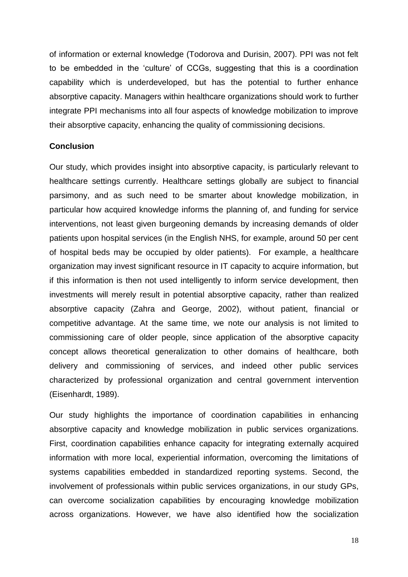of information or external knowledge (Todorova and Durisin, 2007). PPI was not felt to be embedded in the 'culture' of CCGs, suggesting that this is a coordination capability which is underdeveloped, but has the potential to further enhance absorptive capacity. Managers within healthcare organizations should work to further integrate PPI mechanisms into all four aspects of knowledge mobilization to improve their absorptive capacity, enhancing the quality of commissioning decisions.

### **Conclusion**

Our study, which provides insight into absorptive capacity, is particularly relevant to healthcare settings currently. Healthcare settings globally are subject to financial parsimony, and as such need to be smarter about knowledge mobilization, in particular how acquired knowledge informs the planning of, and funding for service interventions, not least given burgeoning demands by increasing demands of older patients upon hospital services (in the English NHS, for example, around 50 per cent of hospital beds may be occupied by older patients). For example, a healthcare organization may invest significant resource in IT capacity to acquire information, but if this information is then not used intelligently to inform service development, then investments will merely result in potential absorptive capacity, rather than realized absorptive capacity (Zahra and George, 2002), without patient, financial or competitive advantage. At the same time, we note our analysis is not limited to commissioning care of older people, since application of the absorptive capacity concept allows theoretical generalization to other domains of healthcare, both delivery and commissioning of services, and indeed other public services characterized by professional organization and central government intervention (Eisenhardt, 1989).

Our study highlights the importance of coordination capabilities in enhancing absorptive capacity and knowledge mobilization in public services organizations. First, coordination capabilities enhance capacity for integrating externally acquired information with more local, experiential information, overcoming the limitations of systems capabilities embedded in standardized reporting systems. Second, the involvement of professionals within public services organizations, in our study GPs, can overcome socialization capabilities by encouraging knowledge mobilization across organizations. However, we have also identified how the socialization

18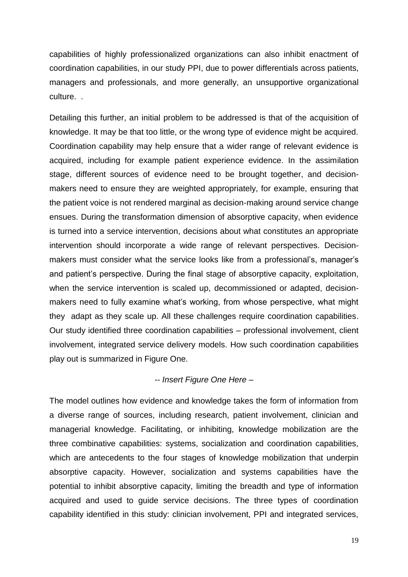capabilities of highly professionalized organizations can also inhibit enactment of coordination capabilities, in our study PPI, due to power differentials across patients, managers and professionals, and more generally, an unsupportive organizational culture. .

Detailing this further, an initial problem to be addressed is that of the acquisition of knowledge. It may be that too little, or the wrong type of evidence might be acquired. Coordination capability may help ensure that a wider range of relevant evidence is acquired, including for example patient experience evidence. In the assimilation stage, different sources of evidence need to be brought together, and decisionmakers need to ensure they are weighted appropriately, for example, ensuring that the patient voice is not rendered marginal as decision-making around service change ensues. During the transformation dimension of absorptive capacity, when evidence is turned into a service intervention, decisions about what constitutes an appropriate intervention should incorporate a wide range of relevant perspectives. Decisionmakers must consider what the service looks like from a professional's, manager's and patient's perspective. During the final stage of absorptive capacity, exploitation, when the service intervention is scaled up, decommissioned or adapted, decisionmakers need to fully examine what's working, from whose perspective, what might they adapt as they scale up. All these challenges require coordination capabilities. Our study identified three coordination capabilities – professional involvement, client involvement, integrated service delivery models. How such coordination capabilities play out is summarized in Figure One.

## *-- Insert Figure One Here –*

The model outlines how evidence and knowledge takes the form of information from a diverse range of sources, including research, patient involvement, clinician and managerial knowledge. Facilitating, or inhibiting, knowledge mobilization are the three combinative capabilities: systems, socialization and coordination capabilities, which are antecedents to the four stages of knowledge mobilization that underpin absorptive capacity. However, socialization and systems capabilities have the potential to inhibit absorptive capacity, limiting the breadth and type of information acquired and used to guide service decisions. The three types of coordination capability identified in this study: clinician involvement, PPI and integrated services,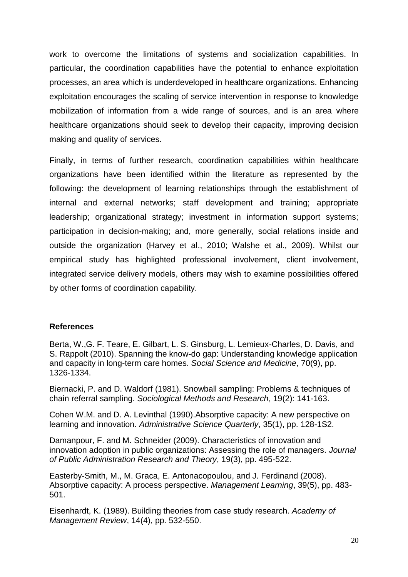work to overcome the limitations of systems and socialization capabilities. In particular, the coordination capabilities have the potential to enhance exploitation processes, an area which is underdeveloped in healthcare organizations. Enhancing exploitation encourages the scaling of service intervention in response to knowledge mobilization of information from a wide range of sources, and is an area where healthcare organizations should seek to develop their capacity, improving decision making and quality of services.

Finally, in terms of further research, coordination capabilities within healthcare organizations have been identified within the literature as represented by the following: the development of learning relationships through the establishment of internal and external networks; staff development and training; appropriate leadership; organizational strategy; investment in information support systems; participation in decision-making; and, more generally, social relations inside and outside the organization (Harvey et al., 2010; Walshe et al., 2009). Whilst our empirical study has highlighted professional involvement, client involvement, integrated service delivery models, others may wish to examine possibilities offered by other forms of coordination capability.

# **References**

Berta, W.,G. F. Teare, E. Gilbart, L. S. Ginsburg, L. Lemieux-Charles, D. Davis, and S. Rappolt (2010). Spanning the know-do gap: Understanding knowledge application and capacity in long-term care homes. *Social Science and Medicine*, 70(9), pp. 1326-1334.

Biernacki, P. and D. Waldorf (1981). Snowball sampling: Problems & techniques of chain referral sampling. *Sociological Methods and Research*, 19(2): 141-163.

Cohen W.M. and D. A. Levinthal (1990).Absorptive capacity: A new perspective on learning and innovation. *Administrative Science Quarterly*, 35(1), pp. 128-1S2.

Damanpour, F. and M. Schneider (2009). Characteristics of innovation and innovation adoption in public organizations: Assessing the role of managers. *Journal of Public Administration Research and Theory*, 19(3), pp. 495-522.

Easterby-Smith, M., M. Graca, E. Antonacopoulou, and J. Ferdinand (2008). Absorptive capacity: A process perspective. *Management Learning*, 39(5), pp. 483- 501.

Eisenhardt, K. (1989). Building theories from case study research. *Academy of Management Review*, 14(4), pp. 532-550.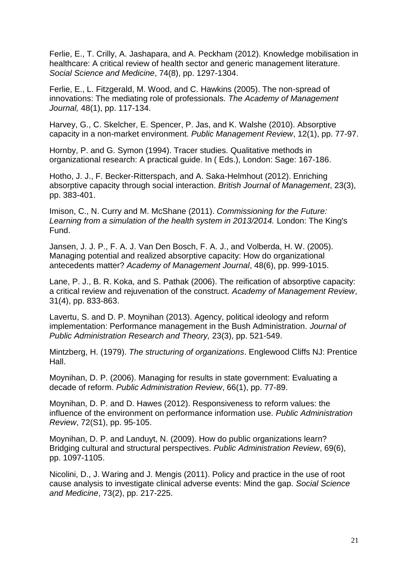Ferlie, E., T. Crilly, A. Jashapara, and A. Peckham (2012). Knowledge mobilisation in healthcare: A critical review of health sector and generic management literature. *Social Science and Medicine*, 74(8), pp. 1297-1304.

Ferlie, E., L. Fitzgerald, M. Wood, and C. Hawkins (2005). The non-spread of innovations: The mediating role of professionals. *The Academy of Management Journal,* 48(1), pp. 117-134.

Harvey, G., C. Skelcher, E. Spencer, P. Jas, and K. Walshe (2010). Absorptive capacity in a non-market environment. *Public Management Review*, 12(1), pp. 77-97.

Hornby, P. and G. Symon (1994). Tracer studies. Qualitative methods in organizational research: A practical guide. In ( Eds.), London: Sage: 167-186.

Hotho, J. J., F. Becker-Ritterspach, and A. Saka-Helmhout (2012). Enriching absorptive capacity through social interaction. *British Journal of Management*, 23(3), pp. 383-401.

Imison, C., N. Curry and M. McShane (2011). *Commissioning for the Future: Learning from a simulation of the health system in 2013/2014.* London: The King's Fund.

Jansen, J. J. P., F. A. J. Van Den Bosch, F. A. J., and Volberda, H. W. (2005). Managing potential and realized absorptive capacity: How do organizational antecedents matter? *Academy of Management Journal*, 48(6), pp. 999-1015.

Lane, P. J., B. R. Koka, and S. Pathak (2006). The reification of absorptive capacity: a critical review and rejuvenation of the construct. *Academy of Management Review*, 31(4), pp. 833-863.

Lavertu, S. and D. P. Moynihan (2013). Agency, political ideology and reform implementation: Performance management in the Bush Administration. *Journal of Public Administration Research and Theory,* 23(3), pp. 521-549.

Mintzberg, H. (1979). *The structuring of organizations*. Englewood Cliffs NJ: Prentice Hall.

Moynihan, D. P. (2006). Managing for results in state government: Evaluating a decade of reform. *Public Administration Review*, 66(1), pp. 77-89.

Moynihan, D. P. and D. Hawes (2012). Responsiveness to reform values: the influence of the environment on performance information use. *Public Administration Review*, 72(S1), pp. 95-105.

Moynihan, D. P. and Landuyt, N. (2009). How do public organizations learn? Bridging cultural and structural perspectives. *Public Administration Review*, 69(6), pp. 1097-1105.

Nicolini, D., J. Waring and J. Mengis (2011). Policy and practice in the use of root cause analysis to investigate clinical adverse events: Mind the gap. *Social Science and Medicine*, 73(2), pp. 217-225.